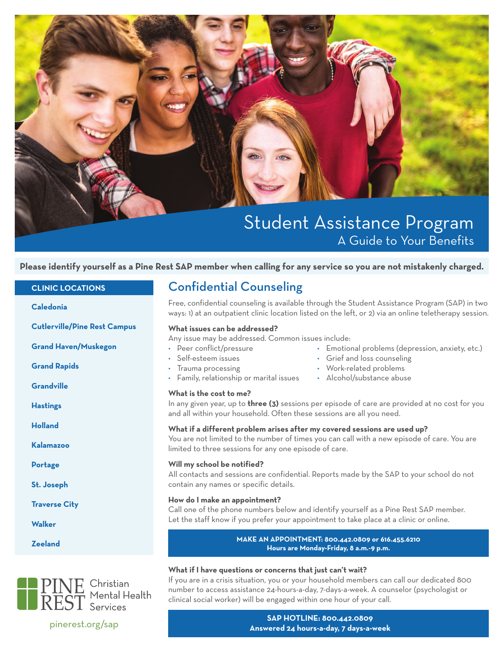

# Student Assistance Program A Guide to Your Benefits

#### **Please identify yourself as a Pine Rest SAP member when calling for any service so you are not mistakenly charged.**

#### **CLINIC LOCATIONS**

**Caledonia**

**Cutlerville/Pine Rest Campus**

**Grand Haven/Muskegon**

**Grand Rapids**

**Grandville**

**Hastings**

**Holland**

**Kalamazoo**

**Portage**

**St. Joseph**

**Traverse City**

**Walker**

**Zeeland**



### Confidential Counseling

Free, confidential counseling is available through the Student Assistance Program (SAP) in two ways: 1) at an outpatient clinic location listed on the left, or 2) via an online teletherapy session.

#### **What issues can be addressed?**

Any issue may be addressed. Common issues include:

- 
- 
- 
- Family, relationship or marital issues Alcohol/substance abuse

#### **What is the cost to me?**

- 
- Peer conflict/pressure Cmotional problems (depression, anxiety, etc.)
- Self-esteem issues Grief and loss counseling
- Trauma processing extending the Work-related problems
	-

In any given year, up to **three (3)** sessions per episode of care are provided at no cost for you and all within your household. Often these sessions are all you need.

#### **What if a different problem arises after my covered sessions are used up?**

You are not limited to the number of times you can call with a new episode of care. You are limited to three sessions for any one episode of care.

#### **Will my school be notified?**

All contacts and sessions are confidential. Reports made by the SAP to your school do not contain any names or specific details.

#### **How do I make an appointment?**

Call one of the phone numbers below and identify yourself as a Pine Rest SAP member. Let the staff know if you prefer your appointment to take place at a clinic or online.

#### **MAKE AN APPOINTMENT: 800.442.0809 or 616.455.6210 Hours are Monday-Friday, 8 a.m.-9 p.m.**

#### **What if I have questions or concerns that just can't wait?**

If you are in a crisis situation, you or your household members can call our dedicated 800 number to access assistance 24-hours-a-day, 7-days-a-week. A counselor (psychologist or clinical social worker) will be engaged within one hour of your call.

#### **SAP HOTLINE: 800.442.0809 Answered 24 hours-a-day, 7 days-a-week**

pinerest.org/sap